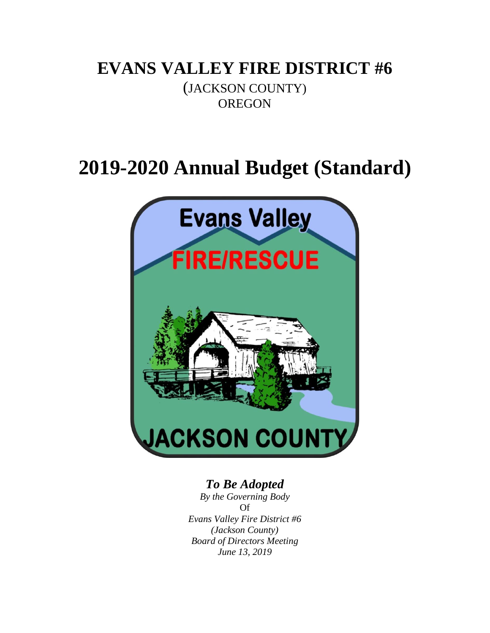# **EVANS VALLEY FIRE DISTRICT #6**

(JACKSON COUNTY) **OREGON** 

# **2019-2020 Annual Budget (Standard)**



### *To Be Adopted*

*By the Governing Body* Of *Evans Valley Fire District #6 (Jackson County) Board of Directors Meeting June 13, 2019*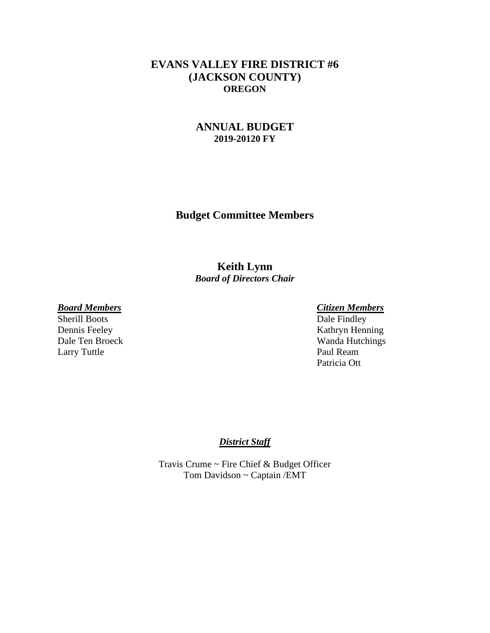#### **EVANS VALLEY FIRE DISTRICT #6 (JACKSON COUNTY) OREGON**

#### **ANNUAL BUDGET 2019-20120 FY**

**Budget Committee Members**

#### **Keith Lynn** *Board of Directors Chair*

#### *Board Members Citizen Members*

Larry Tuttle Paul Ream

Sherill Boots Dale Findley Dennis Feeley Kathryn Henning Dale Ten Broeck Wanda Hutchings Patricia Ott

#### *District Staff*

Travis Crume ~ Fire Chief & Budget Officer Tom Davidson ~ Captain /EMT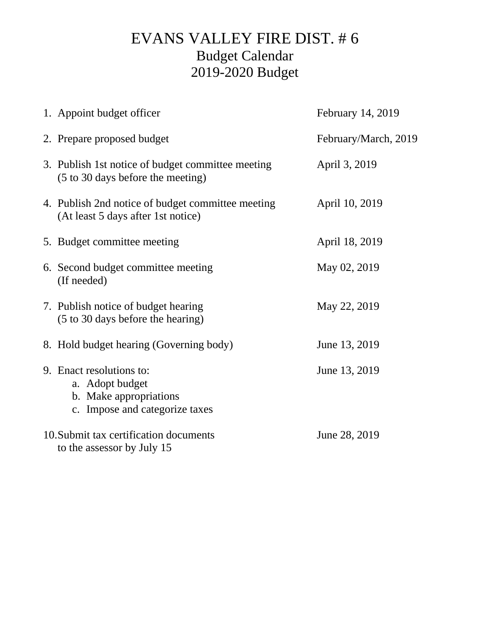# EVANS VALLEY FIRE DIST. # 6 Budget Calendar 2019-2020 Budget

| 1. Appoint budget officer                                                                               | February 14, 2019    |
|---------------------------------------------------------------------------------------------------------|----------------------|
| 2. Prepare proposed budget                                                                              | February/March, 2019 |
| 3. Publish 1st notice of budget committee meeting<br>(5 to 30 days before the meeting)                  | April 3, 2019        |
| 4. Publish 2nd notice of budget committee meeting<br>(At least 5 days after 1st notice)                 | April 10, 2019       |
| 5. Budget committee meeting                                                                             | April 18, 2019       |
| 6. Second budget committee meeting<br>(If needed)                                                       | May 02, 2019         |
| 7. Publish notice of budget hearing<br>(5 to 30 days before the hearing)                                | May 22, 2019         |
| 8. Hold budget hearing (Governing body)                                                                 | June 13, 2019        |
| 9. Enact resolutions to:<br>a. Adopt budget<br>b. Make appropriations<br>c. Impose and categorize taxes | June 13, 2019        |
| 10. Submit tax certification documents<br>to the assessor by July 15                                    | June 28, 2019        |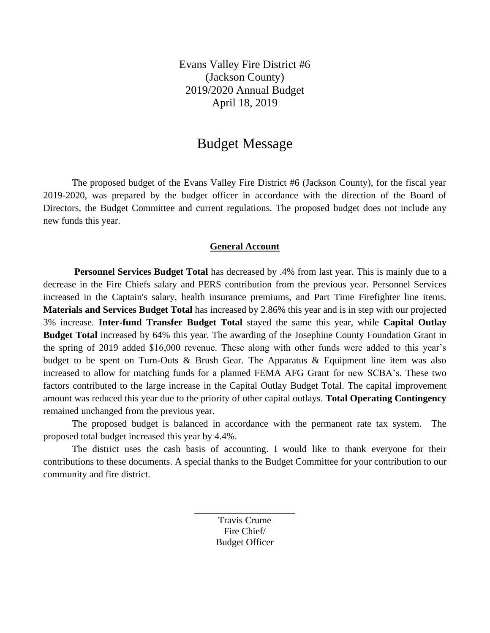Evans Valley Fire District #6 (Jackson County) 2019/2020 Annual Budget April 18, 2019

### Budget Message

The proposed budget of the Evans Valley Fire District #6 (Jackson County), for the fiscal year 2019-2020, was prepared by the budget officer in accordance with the direction of the Board of Directors, the Budget Committee and current regulations. The proposed budget does not include any new funds this year.

#### **General Account**

**Personnel Services Budget Total** has decreased by .4% from last year. This is mainly due to a decrease in the Fire Chiefs salary and PERS contribution from the previous year. Personnel Services increased in the Captain's salary, health insurance premiums, and Part Time Firefighter line items. **Materials and Services Budget Total** has increased by 2.86% this year and is in step with our projected 3% increase. **Inter-fund Transfer Budget Total** stayed the same this year, while **Capital Outlay Budget Total** increased by 64% this year. The awarding of the Josephine County Foundation Grant in the spring of 2019 added \$16,000 revenue. These along with other funds were added to this year's budget to be spent on Turn-Outs & Brush Gear. The Apparatus & Equipment line item was also increased to allow for matching funds for a planned FEMA AFG Grant for new SCBA's. These two factors contributed to the large increase in the Capital Outlay Budget Total. The capital improvement amount was reduced this year due to the priority of other capital outlays. **Total Operating Contingency** remained unchanged from the previous year.

The proposed budget is balanced in accordance with the permanent rate tax system. The proposed total budget increased this year by 4.4%.

The district uses the cash basis of accounting. I would like to thank everyone for their contributions to these documents. A special thanks to the Budget Committee for your contribution to our community and fire district.

> Travis Crume Fire Chief/ Budget Officer

\_\_\_\_\_\_\_\_\_\_\_\_\_\_\_\_\_\_\_\_\_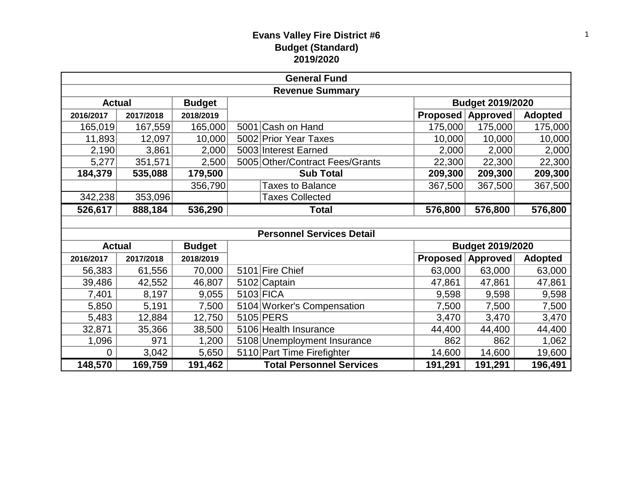#### **Evans Valley Fire District #6 Budget (Standard) 2019/2020**

| <b>General Fund</b>            |           |               |  |                                  |                         |                         |                |  |
|--------------------------------|-----------|---------------|--|----------------------------------|-------------------------|-------------------------|----------------|--|
| <b>Revenue Summary</b>         |           |               |  |                                  |                         |                         |                |  |
| <b>Actual</b>                  |           | <b>Budget</b> |  |                                  | <b>Budget 2019/2020</b> |                         |                |  |
| 2016/2017                      | 2017/2018 | 2018/2019     |  |                                  | Proposed                | Approved                | <b>Adopted</b> |  |
| 165,019                        | 167,559   | 165,000       |  | 5001 Cash on Hand                | 175,000                 | 175,000                 | 175,000        |  |
| 11,893                         | 12,097    | 10,000        |  | 5002 Prior Year Taxes            | 10,000                  | 10,000                  | 10,000         |  |
| 2,190                          | 3,861     | 2,000         |  | 5003 Interest Earned             | 2,000                   | 2,000                   | 2,000          |  |
| 5,277                          | 351,571   | 2,500         |  | 5005 Other/Contract Fees/Grants  | 22,300                  | 22,300                  | 22,300         |  |
| 184,379                        | 535,088   | 179,500       |  | <b>Sub Total</b>                 | 209,300                 | 209,300                 | 209,300        |  |
|                                |           | 356,790       |  | <b>Taxes to Balance</b>          | 367,500                 | 367,500                 | 367,500        |  |
| 342,238                        | 353,096   |               |  | <b>Taxes Collected</b>           |                         |                         |                |  |
| 526,617                        | 888,184   | 536,290       |  | Total                            | 576,800                 | 576,800                 | 576,800        |  |
|                                |           |               |  |                                  |                         |                         |                |  |
|                                |           |               |  | <b>Personnel Services Detail</b> |                         |                         |                |  |
| <b>Actual</b><br><b>Budget</b> |           |               |  |                                  |                         | <b>Budget 2019/2020</b> |                |  |
| 2016/2017                      | 2017/2018 | 2018/2019     |  |                                  | Proposed                | Approved                | <b>Adopted</b> |  |
| 56,383                         | 61,556    | 70,000        |  | 5101 Fire Chief                  | 63,000                  | 63,000                  | 63,000         |  |
| 39,486                         | 42,552    | 46,807        |  | 5102 Captain                     | 47,861                  | 47,861                  | 47,861         |  |
| 7,401                          | 8,197     | 9,055         |  | 5103 FICA                        | 9,598                   | 9,598                   | 9,598          |  |
| 5,850                          | 5,191     | 7,500         |  | 5104 Worker's Compensation       | 7,500                   | 7,500                   | 7,500          |  |
| 5,483                          | 12,884    | 12,750        |  | 5105 PERS                        | 3,470                   | 3,470                   | 3,470          |  |
| 32,871                         | 35,366    | 38,500        |  | 5106 Health Insurance            | 44,400                  | 44,400                  | 44,400         |  |
| 1,096                          | 971       | 1,200         |  | 5108 Unemployment Insurance      | 862                     | 862                     | 1,062          |  |
| 0                              | 3,042     | 5,650         |  | 5110 Part Time Firefighter       | 14,600                  | 14,600                  | 19,600         |  |
| 148,570                        | 169,759   | 191,462       |  | <b>Total Personnel Services</b>  | 191,291                 | 191,291                 | 196,491        |  |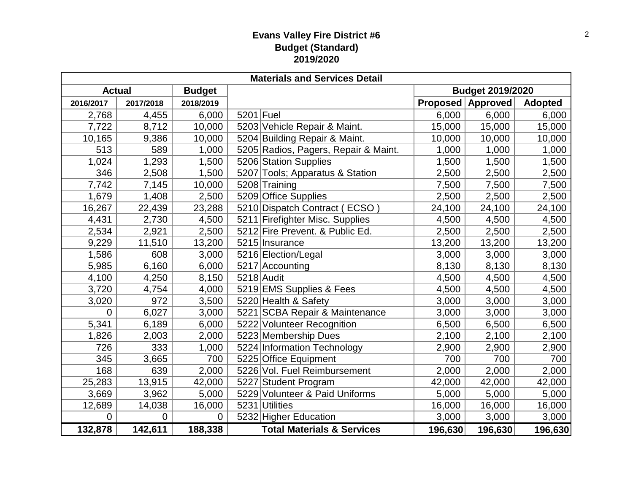#### **Evans Valley Fire District #6 Budget (Standard) 2019/2020**

| <b>Materials and Services Detail</b> |                |               |           |                                       |                         |                          |                |  |  |
|--------------------------------------|----------------|---------------|-----------|---------------------------------------|-------------------------|--------------------------|----------------|--|--|
| <b>Actual</b>                        |                | <b>Budget</b> |           |                                       | <b>Budget 2019/2020</b> |                          |                |  |  |
| 2016/2017                            | 2017/2018      | 2018/2019     |           |                                       |                         | <b>Proposed Approved</b> | <b>Adopted</b> |  |  |
| 2,768                                | 4,455          | 6,000         | 5201 Fuel |                                       | 6,000                   | 6,000                    | 6,000          |  |  |
| 7,722                                | 8,712          | 10,000        |           | 5203 Vehicle Repair & Maint.          | 15,000                  | 15,000                   | 15,000         |  |  |
| 10,165                               | 9,386          | 10,000        |           | 5204 Building Repair & Maint.         | 10,000                  | 10,000                   | 10,000         |  |  |
| 513                                  | 589            | 1,000         |           | 5205 Radios, Pagers, Repair & Maint.  | 1,000                   | 1,000                    | 1,000          |  |  |
| 1,024                                | 1,293          | 1,500         |           | 5206 Station Supplies                 | 1,500                   | 1,500                    | 1,500          |  |  |
| 346                                  | 2,508          | 1,500         |           | 5207 Tools; Apparatus & Station       | 2,500                   | 2,500                    | 2,500          |  |  |
| 7,742                                | 7,145          | 10,000        |           | 5208 Training                         | 7,500                   | 7,500                    | 7,500          |  |  |
| 1,679                                | 1,408          | 2,500         |           | 5209 Office Supplies                  | 2,500                   | 2,500                    | 2,500          |  |  |
| 16,267                               | 22,439         | 23,288        |           | 5210 Dispatch Contract (ECSO)         | 24,100                  | 24,100                   | 24,100         |  |  |
| 4,431                                | 2,730          | 4,500         |           | 5211 Firefighter Misc. Supplies       | 4,500                   | 4,500                    | 4,500          |  |  |
| 2,534                                | 2,921          | 2,500         |           | 5212 Fire Prevent. & Public Ed.       | 2,500                   | 2,500                    | 2,500          |  |  |
| 9,229                                | 11,510         | 13,200        |           | 5215 Insurance                        | 13,200                  | 13,200                   | 13,200         |  |  |
| 1,586                                | 608            | 3,000         |           | 5216 Election/Legal                   | 3,000                   | 3,000                    | 3,000          |  |  |
| 5,985                                | 6,160          | 6,000         |           | 5217 Accounting                       | 8,130                   | 8,130                    | 8,130          |  |  |
| 4,100                                | 4,250          | 8,150         |           | $5218$ Audit                          | 4,500                   | 4,500                    | 4,500          |  |  |
| 3,720                                | 4,754          | 4,000         |           | 5219 EMS Supplies & Fees              | 4,500                   | 4,500                    | 4,500          |  |  |
| 3,020                                | 972            | 3,500         |           | 5220 Health & Safety                  | 3,000                   | 3,000                    | 3,000          |  |  |
| 0                                    | 6,027          | 3,000         |           | 5221 SCBA Repair & Maintenance        | 3,000                   | 3,000                    | 3,000          |  |  |
| 5,341                                | 6,189          | 6,000         |           | 5222 Volunteer Recognition            | 6,500                   | 6,500                    | 6,500          |  |  |
| 1,826                                | 2,003          | 2,000         |           | 5223 Membership Dues                  | 2,100                   | 2,100                    | 2,100          |  |  |
| 726                                  | 333            | 1,000         |           | 5224 Information Technology           | 2,900                   | 2,900                    | 2,900          |  |  |
| 345                                  | 3,665          | 700           |           | 5225 Office Equipment                 | 700                     | 700                      | 700            |  |  |
| 168                                  | 639            | 2,000         |           | 5226 Vol. Fuel Reimbursement          | 2,000                   | 2,000                    | 2,000          |  |  |
| 25,283                               | 13,915         | 42,000        |           | 5227 Student Program                  | 42,000                  | 42,000                   | 42,000         |  |  |
| 3,669                                | 3,962          | 5,000         |           | 5229 Volunteer & Paid Uniforms        | 5,000                   | 5,000                    | 5,000          |  |  |
| 12,689                               | 14,038         | 16,000        |           | 5231 Utilities                        | 16,000                  | 16,000                   | 16,000         |  |  |
| $\overline{0}$                       | $\overline{0}$ | $\Omega$      |           | 5232 Higher Education                 | 3,000                   | 3,000                    | 3,000          |  |  |
| 132,878                              | 142,611        | 188,338       |           | <b>Total Materials &amp; Services</b> | 196,630                 | 196,630                  | 196,630        |  |  |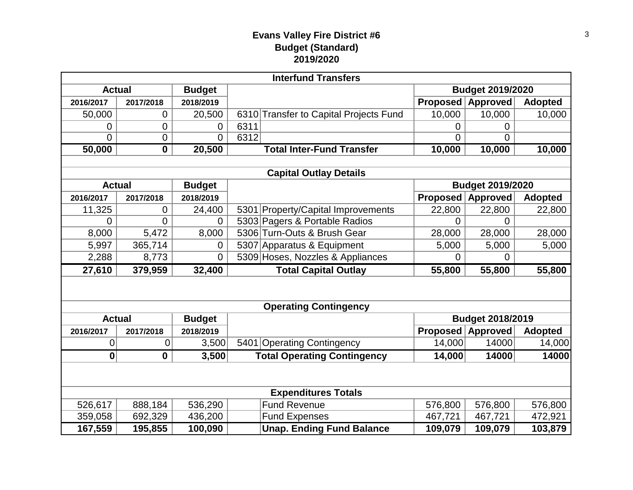#### **Evans Valley Fire District #6 Budget (Standard) 2019/2020**

| <b>Interfund Transfers</b> |                  |                |      |                                        |                         |                         |                |  |  |
|----------------------------|------------------|----------------|------|----------------------------------------|-------------------------|-------------------------|----------------|--|--|
| <b>Actual</b>              |                  | <b>Budget</b>  |      |                                        |                         | <b>Budget 2019/2020</b> |                |  |  |
| 2016/2017                  | 2017/2018        | 2018/2019      |      |                                        | <b>Proposed</b>         | <b>Approved</b>         | <b>Adopted</b> |  |  |
| 50,000                     | 0                | 20,500         |      | 6310 Transfer to Capital Projects Fund | 10,000                  | 10,000                  | 10,000         |  |  |
| 0                          | $\mathbf 0$      | 0              | 6311 |                                        | 0                       | 0                       |                |  |  |
| 0                          | $\overline{0}$   | $\Omega$       | 6312 |                                        | $\Omega$                | $\Omega$                |                |  |  |
| 50,000                     | $\boldsymbol{0}$ | 20,500         |      | <b>Total Inter-Fund Transfer</b>       | 10,000                  | 10,000                  | 10,000         |  |  |
|                            |                  |                |      |                                        |                         |                         |                |  |  |
|                            |                  |                |      | <b>Capital Outlay Details</b>          |                         |                         |                |  |  |
| <b>Actual</b>              |                  | <b>Budget</b>  |      |                                        |                         | <b>Budget 2019/2020</b> |                |  |  |
| 2016/2017                  | 2017/2018        | 2018/2019      |      |                                        | <b>Proposed</b>         | <b>Approved</b>         | <b>Adopted</b> |  |  |
| 11,325                     | 0                | 24,400         |      | 5301 Property/Capital Improvements     | 22,800                  | 22,800                  | 22,800         |  |  |
| 0                          | $\overline{0}$   | 0              |      | 5303 Pagers & Portable Radios          | 0                       | $\Omega$                |                |  |  |
| 8,000                      | 5,472            | 8,000          |      | 5306 Turn-Outs & Brush Gear            | 28,000                  | 28,000                  | 28,000         |  |  |
| 5,997                      | 365,714          | 0              |      | 5307 Apparatus & Equipment             | 5,000                   | 5,000                   | 5,000          |  |  |
| 2,288                      | 8,773            | $\overline{0}$ |      | 5309 Hoses, Nozzles & Appliances       | 0                       | $\overline{0}$          |                |  |  |
| 27,610                     | 379,959          | 32,400         |      | <b>Total Capital Outlay</b>            | 55,800                  | 55,800                  | 55,800         |  |  |
|                            |                  |                |      |                                        |                         |                         |                |  |  |
|                            |                  |                |      | <b>Operating Contingency</b>           |                         |                         |                |  |  |
| <b>Actual</b>              |                  | <b>Budget</b>  |      |                                        | <b>Budget 2018/2019</b> |                         |                |  |  |
| 2016/2017<br>2017/2018     |                  | 2018/2019      |      |                                        | Proposed                | Approved                | <b>Adopted</b> |  |  |
| 0                          | 0                | 3,500          |      | 5401 Operating Contingency             | 14,000                  | 14000                   | 14,000         |  |  |
| $\mathbf{0}$               | $\mathbf 0$      | 3,500          |      | <b>Total Operating Contingency</b>     | 14,000                  | 14000                   | 14000          |  |  |
|                            |                  |                |      |                                        |                         |                         |                |  |  |
|                            |                  |                |      |                                        |                         |                         |                |  |  |
| <b>Expenditures Totals</b> |                  |                |      |                                        |                         |                         |                |  |  |
| 526,617                    | 888,184          | 536,290        |      | <b>Fund Revenue</b>                    | 576,800                 | 576,800                 | 576,800        |  |  |
| 359,058                    | 692,329          | 436,200        |      | <b>Fund Expenses</b>                   | 467,721                 | 467,721                 | 472,921        |  |  |
| 167,559                    | 195,855          | 100,090        |      | <b>Unap. Ending Fund Balance</b>       | 109,079                 | 109,079                 | 103,879        |  |  |